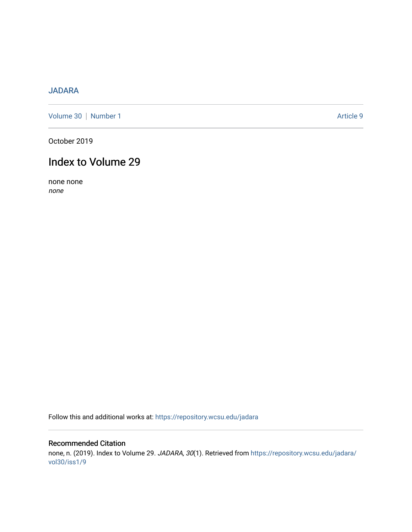### [JADARA](https://repository.wcsu.edu/jadara)

[Volume 30](https://repository.wcsu.edu/jadara/vol30) | [Number 1](https://repository.wcsu.edu/jadara/vol30/iss1) Article 9

October 2019

# Index to Volume 29

none none none

Follow this and additional works at: [https://repository.wcsu.edu/jadara](https://repository.wcsu.edu/jadara?utm_source=repository.wcsu.edu%2Fjadara%2Fvol30%2Fiss1%2F9&utm_medium=PDF&utm_campaign=PDFCoverPages)

#### Recommended Citation

none, n. (2019). Index to Volume 29. JADARA, 30(1). Retrieved from [https://repository.wcsu.edu/jadara/](https://repository.wcsu.edu/jadara/vol30/iss1/9?utm_source=repository.wcsu.edu%2Fjadara%2Fvol30%2Fiss1%2F9&utm_medium=PDF&utm_campaign=PDFCoverPages) [vol30/iss1/9](https://repository.wcsu.edu/jadara/vol30/iss1/9?utm_source=repository.wcsu.edu%2Fjadara%2Fvol30%2Fiss1%2F9&utm_medium=PDF&utm_campaign=PDFCoverPages)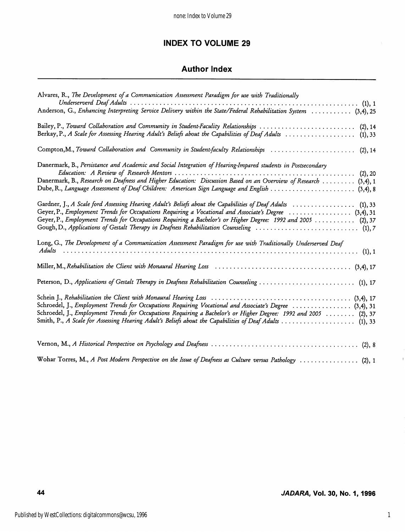# INDEX TO VOLUME 29

## Author Index

| Alvares, R., The Development of a Communication Assessment Paradigm for use with Traditionally                                                                                                                                                                                                                                         |
|----------------------------------------------------------------------------------------------------------------------------------------------------------------------------------------------------------------------------------------------------------------------------------------------------------------------------------------|
| Anderson, G., Enhancing Interpreting Service Delivery within the State/Federal Rehabilitation System  (3,4), 25                                                                                                                                                                                                                        |
| Bailey, P., Toward Collaboration and Community in Student-Faculity Relationships  (2), 14<br>Berkay, P., A Scale for Assessing Hearing Adult's Beliefs about the Capabilities of Deaf Adults  (1), 33                                                                                                                                  |
| Compton, M., Toward Collaboration and Community in Student-faculty Relationships  (2), 14                                                                                                                                                                                                                                              |
| Danermark, B., Persistance and Academic and Social Integration of Hearing-Impared students in Postsecondary<br>Danermark, B., Research on Deafness and Higher Education: Discussion Based on an Overview of Research  (3,4), 1<br>Dube, R., Language Assessment of Deaf Children: American Sign Language and English  (3,4), 8         |
| Gardner, J., A Scale ford Assessing Hearing Adult's Beliefs about the Capabilities of Deaf Adults  (1), 33<br>Geyer, P., Employment Trends for Occupations Requiring a Vocational and Associate's Degree  (3,4), 31<br>Geyer, P., Employment Trends for Occupations Requiring a Bachelor's or Higher Degree: 1992 and 2005  (2), 37    |
| Long, G., The Development of a Communication Assessment Paradigm for use with Traditionally Underserved Deaf                                                                                                                                                                                                                           |
|                                                                                                                                                                                                                                                                                                                                        |
| Peterson, D., Applications of Gestalt Therapy in Deafness Rehabilitation Counseling  (1), 17                                                                                                                                                                                                                                           |
| Schroedel, J., Employment Trends for Occupations Requiring Vocational and Associate's Degree  (3,4), 31<br>Schroedel, J., Employment Trends for Occupations Requiring a Bachelor's or Higher Degree: 1992 and 2005  (2), 37<br>Smith, P., A Scale for Assessing Hearing Adult's Beliefs about the Capabilities of Deaf Adults  (1), 33 |
|                                                                                                                                                                                                                                                                                                                                        |
| Wohar Torres, M., A Post Modern Perspective on the Issue of Deafness as Culture versus Pathology  (2), 1                                                                                                                                                                                                                               |

J.